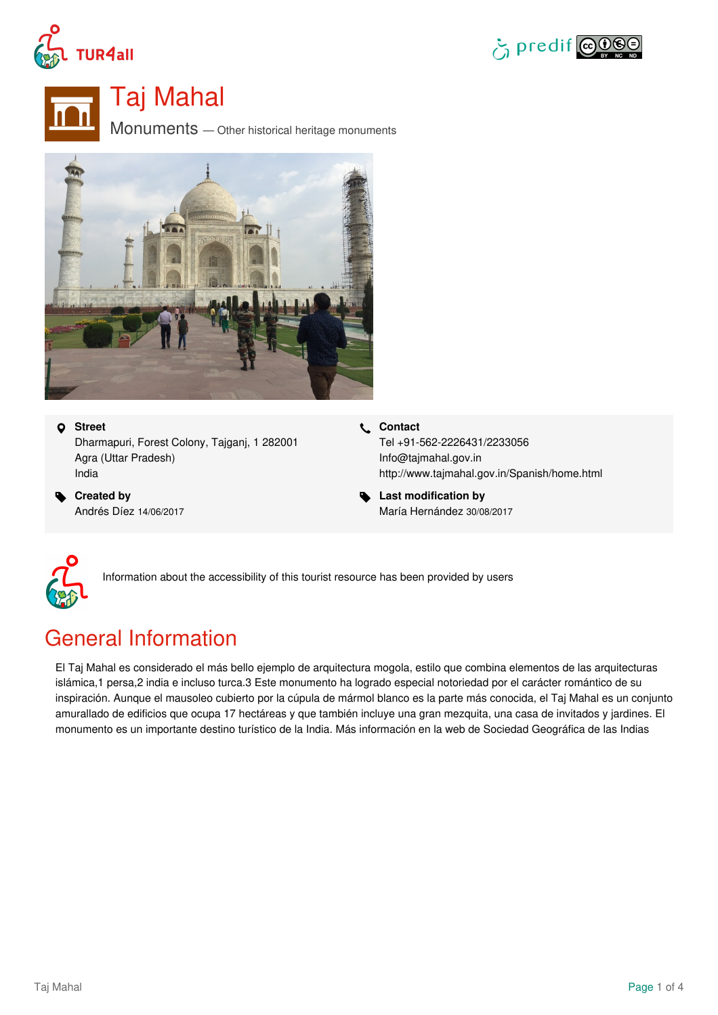





Taj Mahal

Monuments — Other historical heritage monuments



### **Street**

Dharmapuri, Forest Colony, Tajganj, 1 282001 Agra (Uttar Pradesh) India

 **Created by** Andrés Díez 14/06/2017 **Contact**

Tel +91-562-2226431/2233056 Info@tajmahal.gov.in <http://www.tajmahal.gov.in/Spanish/home.html>

 **Last modification by** María Hernández 30/08/2017



Information about the accessibility of this tourist resource has been provided by users

## General Information

El Taj Mahal es considerado el más bello ejemplo de arquitectura mogola, estilo que combina elementos de las arquitecturas islámica,1 persa,2 india e incluso turca.3 Este monumento ha logrado especial notoriedad por el carácter romántico de su inspiración. Aunque el mausoleo cubierto por la cúpula de mármol blanco es la parte más conocida, el Taj Mahal es un conjunto amurallado de edificios que ocupa 17 hectáreas y que también incluye una gran mezquita, una casa de invitados y jardines. El monumento es un importante destino turístico de la India. Más información en la web de Sociedad Geográfica de las Indias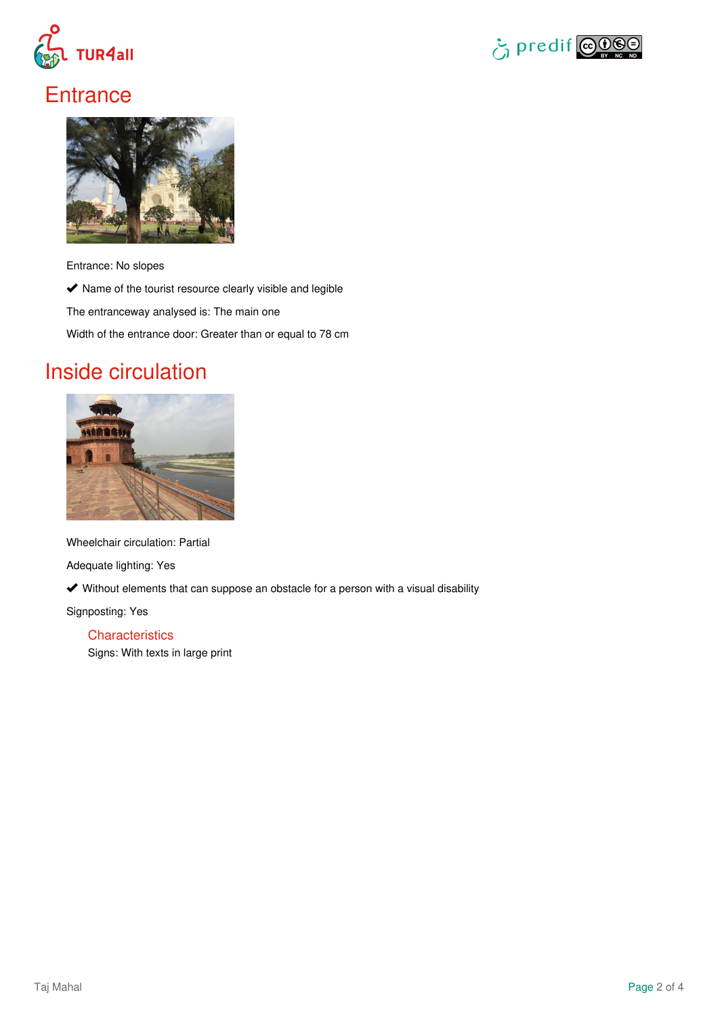



## **Entrance**



Entrance: No slopes

 $\blacktriangleright$  Name of the tourist resource clearly visible and legible

The entranceway analysed is: The main one

Width of the entrance door: Greater than or equal to 78 cm

## Inside circulation



Wheelchair circulation: Partial

Adequate lighting: Yes

Without elements that can suppose an obstacle for a person with a visual disability

Signposting: Yes

**Characteristics** Signs: With texts in large print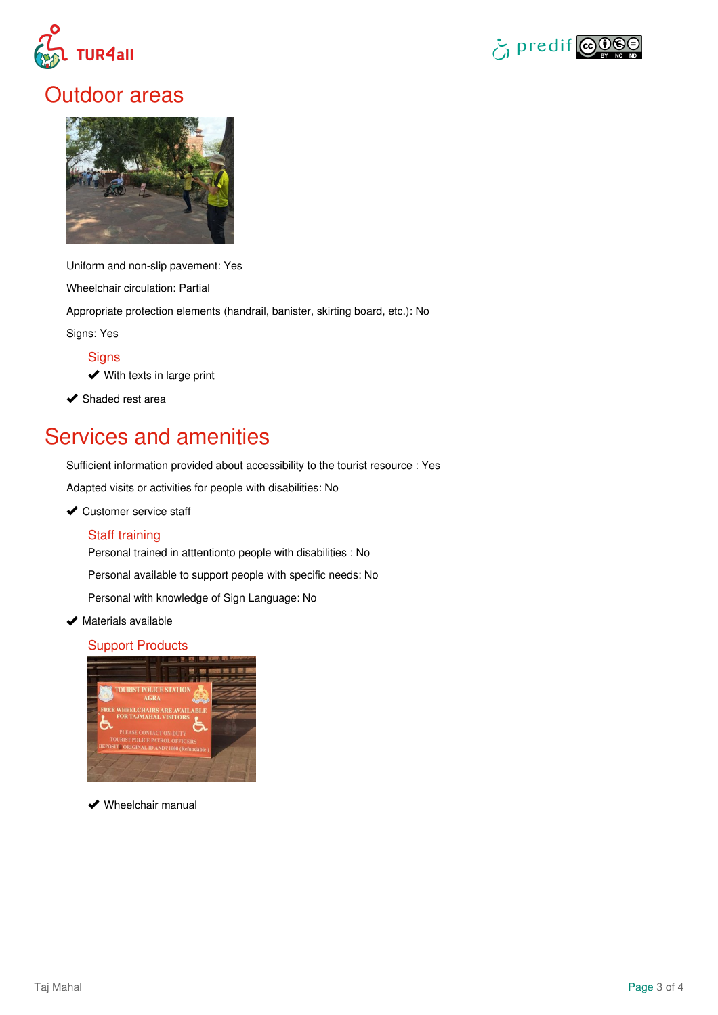



### Outdoor areas



Uniform and non-slip pavement: Yes Wheelchair circulation: Partial Appropriate protection elements (handrail, banister, skirting board, etc.): No Signs: Yes

**Signs** 

**◆** With texts in large print

 $\blacktriangleright$  Shaded rest area

# Services and amenities

Sufficient information provided about accessibility to the tourist resource : Yes

Adapted visits or activities for people with disabilities: No

#### ◆ Customer service staff

#### Staff training

Personal trained in atttentionto people with disabilities : No

Personal available to support people with specific needs: No

Personal with knowledge of Sign Language: No

 $\blacktriangleright$  Materials available

### Support Products



◆ Wheelchair manual